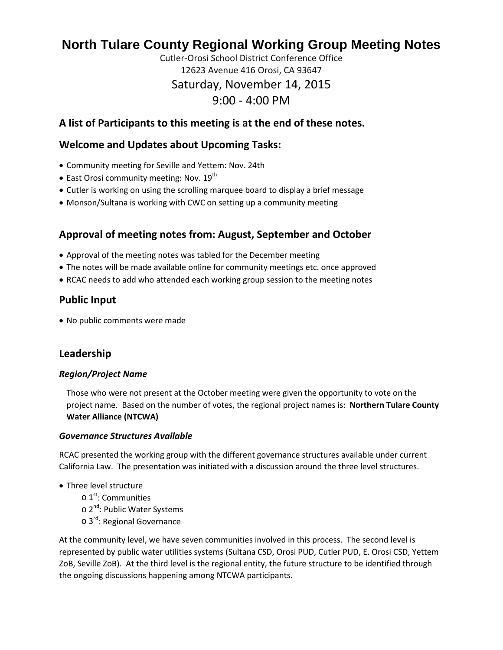# **North Tulare County Regional Working Group Meeting Notes**

Cutler-Orosi School District Conference Office 12623 Avenue 416 Orosi, CA 93647 Saturday, November 14, 2015 9:00 - 4:00 PM

### **A list of Participants to this meeting is at the end of these notes.**

### **Welcome and Updates about Upcoming Tasks:**

- Community meeting for Seville and Yettem: Nov. 24th
- East Orosi community meeting: Nov. 19<sup>th</sup>
- Cutler is working on using the scrolling marquee board to display a brief message
- Monson/Sultana is working with CWC on setting up a community meeting

### **Approval of meeting notes from: August, September and October**

- Approval of the meeting notes was tabled for the December meeting
- The notes will be made available online for community meetings etc. once approved
- RCAC needs to add who attended each working group session to the meeting notes

### **Public Input**

• No public comments were made

### **Leadership**

#### *Region/Project Name*

Those who were not present at the October meeting were given the opportunity to vote on the project name. Based on the number of votes, the regional project names is: **Northern Tulare County Water Alliance (NTCWA)**

#### *Governance Structures Available*

RCAC presented the working group with the different governance structures available under current California Law. The presentation was initiated with a discussion around the three level structures.

- Three level structure
	- $\circ$  1<sup>st</sup>: Communities
	- o 2<sup>nd</sup>: Public Water Systems
	- o 3<sup>rd</sup>: Regional Governance

At the community level, we have seven communities involved in this process. The second level is represented by public water utilities systems (Sultana CSD, Orosi PUD, Cutler PUD, E. Orosi CSD, Yettem ZoB, Seville ZoB). At the third level is the regional entity, the future structure to be identified through the ongoing discussions happening among NTCWA participants.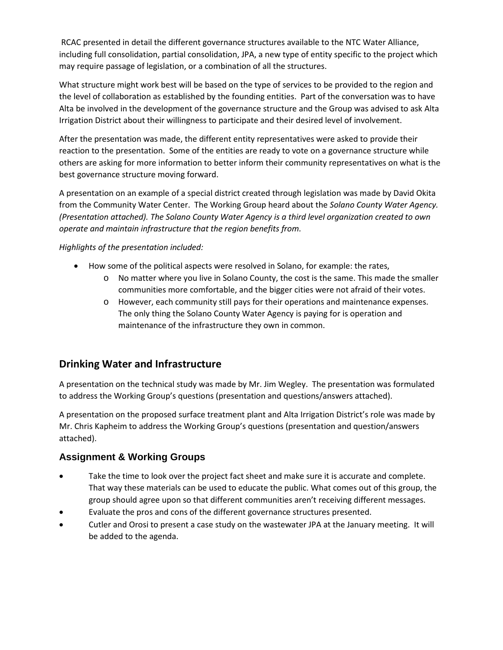RCAC presented in detail the different governance structures available to the NTC Water Alliance, including full consolidation, partial consolidation, JPA, a new type of entity specific to the project which may require passage of legislation, or a combination of all the structures.

What structure might work best will be based on the type of services to be provided to the region and the level of collaboration as established by the founding entities. Part of the conversation was to have Alta be involved in the development of the governance structure and the Group was advised to ask Alta Irrigation District about their willingness to participate and their desired level of involvement.

After the presentation was made, the different entity representatives were asked to provide their reaction to the presentation. Some of the entities are ready to vote on a governance structure while others are asking for more information to better inform their community representatives on what is the best governance structure moving forward.

A presentation on an example of a special district created through legislation was made by David Okita from the Community Water Center. The Working Group heard about the *Solano County Water Agency. (Presentation attached). The Solano County Water Agency is a third level organization created to own operate and maintain infrastructure that the region benefits from.*

#### *Highlights of the presentation included:*

- How some of the political aspects were resolved in Solano, for example: the rates,
	- o No matter where you live in Solano County, the cost is the same. This made the smaller communities more comfortable, and the bigger cities were not afraid of their votes.
	- o However, each community still pays for their operations and maintenance expenses. The only thing the Solano County Water Agency is paying for is operation and maintenance of the infrastructure they own in common.

### **Drinking Water and Infrastructure**

A presentation on the technical study was made by Mr. Jim Wegley. The presentation was formulated to address the Working Group's questions (presentation and questions/answers attached).

A presentation on the proposed surface treatment plant and Alta Irrigation District's role was made by Mr. Chris Kapheim to address the Working Group's questions (presentation and question/answers attached).

### **Assignment & Working Groups**

- Take the time to look over the project fact sheet and make sure it is accurate and complete. That way these materials can be used to educate the public. What comes out of this group, the group should agree upon so that different communities aren't receiving different messages.
- Evaluate the pros and cons of the different governance structures presented.
- Cutler and Orosi to present a case study on the wastewater JPA at the January meeting. It will be added to the agenda.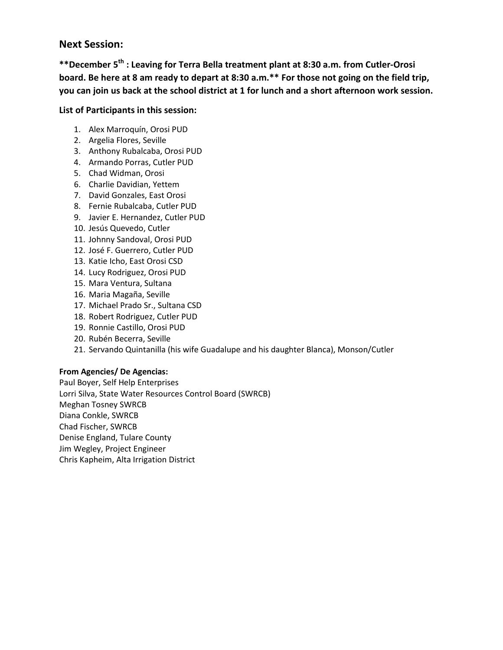### **Next Session:**

**\*\*December 5th : Leaving for Terra Bella treatment plant at 8:30 a.m. from Cutler-Orosi board. Be here at 8 am ready to depart at 8:30 a.m.\*\* For those not going on the field trip, you can join us back at the school district at 1 for lunch and a short afternoon work session.** 

#### **List of Participants in this session:**

- 1. Alex Marroquín, Orosi PUD
- 2. Argelia Flores, Seville
- 3. Anthony Rubalcaba, Orosi PUD
- 4. Armando Porras, Cutler PUD
- 5. Chad Widman, Orosi
- 6. Charlie Davidian, Yettem
- 7. David Gonzales, East Orosi
- 8. Fernie Rubalcaba, Cutler PUD
- 9. Javier E. Hernandez, Cutler PUD
- 10. Jesús Quevedo, Cutler
- 11. Johnny Sandoval, Orosi PUD
- 12. José F. Guerrero, Cutler PUD
- 13. Katie Icho, East Orosi CSD
- 14. Lucy Rodriguez, Orosi PUD
- 15. Mara Ventura, Sultana
- 16. Maria Magaña, Seville
- 17. Michael Prado Sr., Sultana CSD
- 18. Robert Rodriguez, Cutler PUD
- 19. Ronnie Castillo, Orosi PUD
- 20. Rubén Becerra, Seville
- 21. Servando Quintanilla (his wife Guadalupe and his daughter Blanca), Monson/Cutler

#### **From Agencies/ De Agencias:**

Paul Boyer, Self Help Enterprises Lorri Silva, State Water Resources Control Board (SWRCB) Meghan Tosney SWRCB Diana Conkle, SWRCB Chad Fischer, SWRCB Denise England, Tulare County Jim Wegley, Project Engineer Chris Kapheim, Alta Irrigation District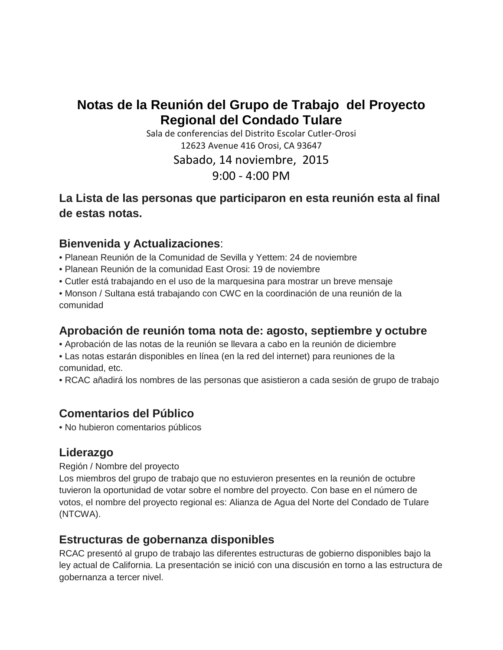# **Notas de la Reunión del Grupo de Trabajo del Proyecto Regional del Condado Tulare**

Sala de conferencias del Distrito Escolar Cutler-Orosi 12623 Avenue 416 Orosi, CA 93647 Sabado, 14 noviembre, 2015 9:00 - 4:00 PM

## **La Lista de las personas que participaron en esta reunión esta al final de estas notas.**

## **Bienvenida y Actualizaciones**:

• Planean Reunión de la Comunidad de Sevilla y Yettem: 24 de noviembre

- Planean Reunión de la comunidad East Orosi: 19 de noviembre
- Cutler está trabajando en el uso de la marquesina para mostrar un breve mensaje
- Monson / Sultana está trabajando con CWC en la coordinación de una reunión de la comunidad

## **Aprobación de reunión toma nota de: agosto, septiembre y octubre**

• Aprobación de las notas de la reunión se llevara a cabo en la reunión de diciembre

• Las notas estarán disponibles en línea (en la red del internet) para reuniones de la comunidad, etc.

• RCAC añadirá los nombres de las personas que asistieron a cada sesión de grupo de trabajo

## **Comentarios del Público**

• No hubieron comentarios públicos

## **Liderazgo**

### Región / Nombre del proyecto

Los miembros del grupo de trabajo que no estuvieron presentes en la reunión de octubre tuvieron la oportunidad de votar sobre el nombre del proyecto. Con base en el número de votos, el nombre del proyecto regional es: Alianza de Agua del Norte del Condado de Tulare (NTCWA).

### **Estructuras de gobernanza disponibles**

RCAC presentó al grupo de trabajo las diferentes estructuras de gobierno disponibles bajo la ley actual de California. La presentación se inició con una discusión en torno a las estructura de gobernanza a tercer nivel.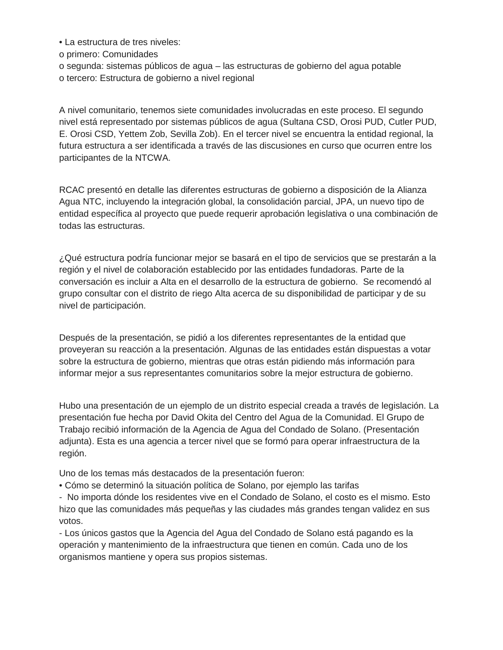• La estructura de tres niveles:

o primero: Comunidades

o segunda: sistemas públicos de agua – las estructuras de gobierno del agua potable o tercero: Estructura de gobierno a nivel regional

A nivel comunitario, tenemos siete comunidades involucradas en este proceso. El segundo nivel está representado por sistemas públicos de agua (Sultana CSD, Orosi PUD, Cutler PUD, E. Orosi CSD, Yettem Zob, Sevilla Zob). En el tercer nivel se encuentra la entidad regional, la futura estructura a ser identificada a través de las discusiones en curso que ocurren entre los participantes de la NTCWA.

RCAC presentó en detalle las diferentes estructuras de gobierno a disposición de la Alianza Agua NTC, incluyendo la integración global, la consolidación parcial, JPA, un nuevo tipo de entidad específica al proyecto que puede requerir aprobación legislativa o una combinación de todas las estructuras.

¿Qué estructura podría funcionar mejor se basará en el tipo de servicios que se prestarán a la región y el nivel de colaboración establecido por las entidades fundadoras. Parte de la conversación es incluir a Alta en el desarrollo de la estructura de gobierno. Se recomendó al grupo consultar con el distrito de riego Alta acerca de su disponibilidad de participar y de su nivel de participación.

Después de la presentación, se pidió a los diferentes representantes de la entidad que proveyeran su reacción a la presentación. Algunas de las entidades están dispuestas a votar sobre la estructura de gobierno, mientras que otras están pidiendo más información para informar mejor a sus representantes comunitarios sobre la mejor estructura de gobierno.

Hubo una presentación de un ejemplo de un distrito especial creada a través de legislación. La presentación fue hecha por David Okita del Centro del Agua de la Comunidad. El Grupo de Trabajo recibió información de la Agencia de Agua del Condado de Solano. (Presentación adjunta). Esta es una agencia a tercer nivel que se formó para operar infraestructura de la región.

Uno de los temas más destacados de la presentación fueron:

• Cómo se determinó la situación política de Solano, por ejemplo las tarifas

- No importa dónde los residentes vive en el Condado de Solano, el costo es el mismo. Esto hizo que las comunidades más pequeñas y las ciudades más grandes tengan validez en sus votos.

- Los únicos gastos que la Agencia del Agua del Condado de Solano está pagando es la operación y mantenimiento de la infraestructura que tienen en común. Cada uno de los organismos mantiene y opera sus propios sistemas.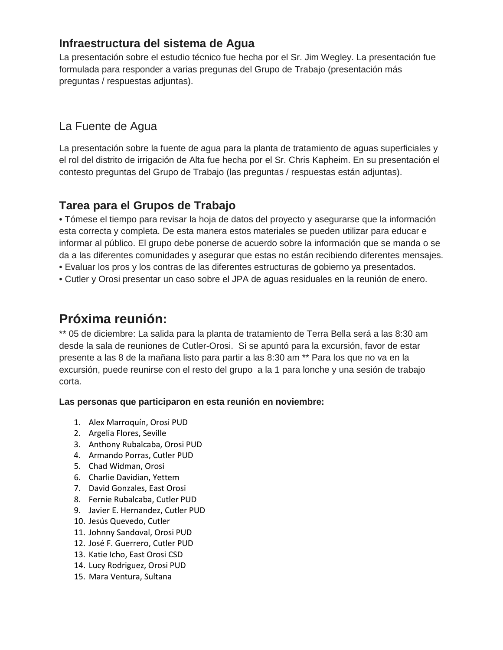## **Infraestructura del sistema de Agua**

La presentación sobre el estudio técnico fue hecha por el Sr. Jim Wegley. La presentación fue formulada para responder a varias pregunas del Grupo de Trabajo (presentación más preguntas / respuestas adjuntas).

## La Fuente de Agua

La presentación sobre la fuente de agua para la planta de tratamiento de aguas superficiales y el rol del distrito de irrigación de Alta fue hecha por el Sr. Chris Kapheim. En su presentación el contesto preguntas del Grupo de Trabajo (las preguntas / respuestas están adjuntas).

## **Tarea para el Grupos de Trabajo**

• Tómese el tiempo para revisar la hoja de datos del proyecto y asegurarse que la información esta correcta y completa. De esta manera estos materiales se pueden utilizar para educar e informar al público. El grupo debe ponerse de acuerdo sobre la información que se manda o se da a las diferentes comunidades y asegurar que estas no están recibiendo diferentes mensajes. • Evaluar los pros y los contras de las diferentes estructuras de gobierno ya presentados.

• Cutler y Orosi presentar un caso sobre el JPA de aguas residuales en la reunión de enero.

# **Próxima reunión:**

\*\* 05 de diciembre: La salida para la planta de tratamiento de Terra Bella será a las 8:30 am desde la sala de reuniones de Cutler-Orosi. Si se apuntó para la excursión, favor de estar presente a las 8 de la mañana listo para partir a las 8:30 am \*\* Para los que no va en la excursión, puede reunirse con el resto del grupo a la 1 para lonche y una sesión de trabajo corta.

### **Las personas que participaron en esta reunión en noviembre:**

- 1. Alex Marroquín, Orosi PUD
- 2. Argelia Flores, Seville
- 3. Anthony Rubalcaba, Orosi PUD
- 4. Armando Porras, Cutler PUD
- 5. Chad Widman, Orosi
- 6. Charlie Davidian, Yettem
- 7. David Gonzales, East Orosi
- 8. Fernie Rubalcaba, Cutler PUD
- 9. Javier E. Hernandez, Cutler PUD
- 10. Jesús Quevedo, Cutler
- 11. Johnny Sandoval, Orosi PUD
- 12. José F. Guerrero, Cutler PUD
- 13. Katie Icho, East Orosi CSD
- 14. Lucy Rodriguez, Orosi PUD
- 15. Mara Ventura, Sultana